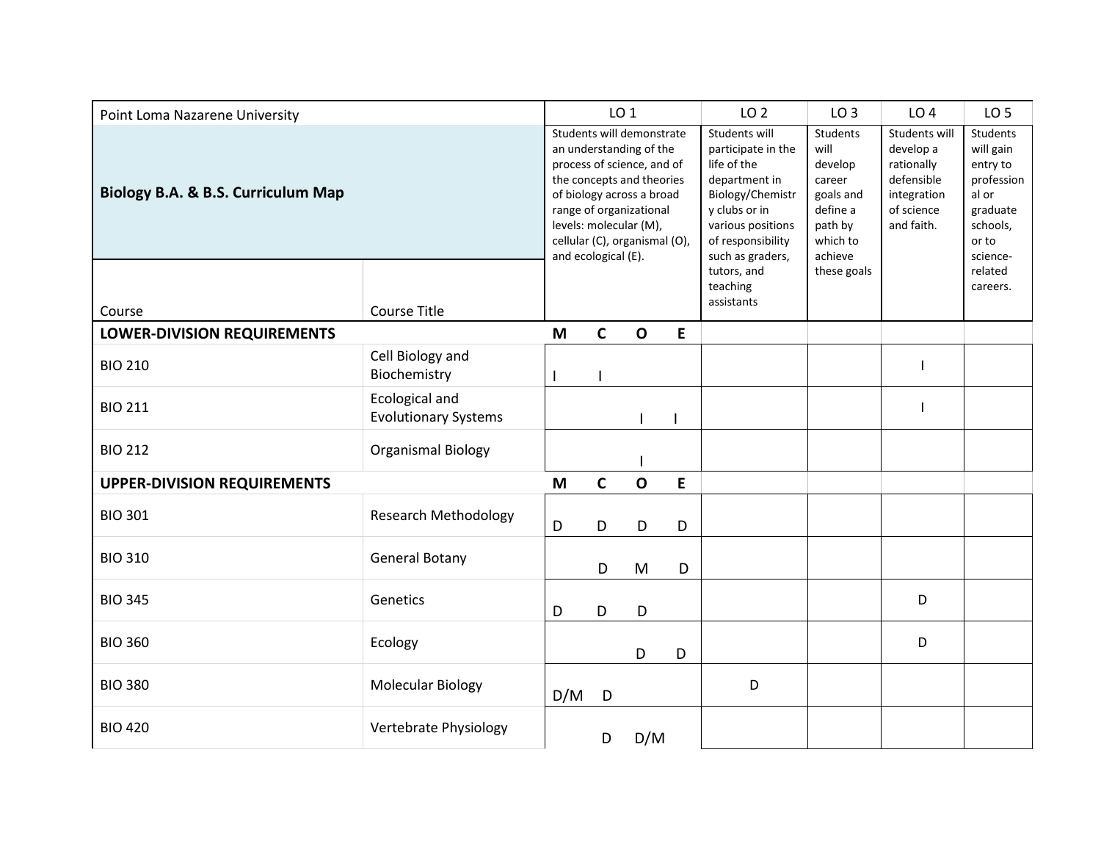| Point Loma Nazarene University     |                                                      | LO <sub>1</sub>                                                                                                                                                                                                                                           |             |              |             | LO <sub>2</sub>                                                                                                                                                        | LO <sub>3</sub>                                                                                  | LO <sub>4</sub>                                                                                   | LO <sub>5</sub>                                                                                       |
|------------------------------------|------------------------------------------------------|-----------------------------------------------------------------------------------------------------------------------------------------------------------------------------------------------------------------------------------------------------------|-------------|--------------|-------------|------------------------------------------------------------------------------------------------------------------------------------------------------------------------|--------------------------------------------------------------------------------------------------|---------------------------------------------------------------------------------------------------|-------------------------------------------------------------------------------------------------------|
| Biology B.A. & B.S. Curriculum Map |                                                      | Students will demonstrate<br>an understanding of the<br>process of science, and of<br>the concepts and theories<br>of biology across a broad<br>range of organizational<br>levels: molecular (M),<br>cellular (C), organismal (O),<br>and ecological (E). |             |              |             | Students will<br>participate in the<br>life of the<br>department in<br>Biology/Chemistr<br>y clubs or in<br>various positions<br>of responsibility<br>such as graders, | Students<br>will<br>develop<br>career<br>goals and<br>define a<br>path by<br>which to<br>achieve | Students will<br>develop a<br>rationally<br>defensible<br>integration<br>of science<br>and faith. | Students<br>will gain<br>entry to<br>profession<br>al or<br>graduate<br>schools,<br>or to<br>science- |
|                                    |                                                      |                                                                                                                                                                                                                                                           |             |              |             | tutors, and<br>teaching<br>assistants                                                                                                                                  | these goals                                                                                      |                                                                                                   | related<br>careers.                                                                                   |
| Course                             | <b>Course Title</b>                                  |                                                                                                                                                                                                                                                           |             |              |             |                                                                                                                                                                        |                                                                                                  |                                                                                                   |                                                                                                       |
| <b>LOWER-DIVISION REQUIREMENTS</b> |                                                      | M                                                                                                                                                                                                                                                         | $\mathbf C$ | $\mathbf{o}$ | ${\sf E}$   |                                                                                                                                                                        |                                                                                                  |                                                                                                   |                                                                                                       |
| <b>BIO 210</b>                     | Cell Biology and<br>Biochemistry                     |                                                                                                                                                                                                                                                           |             |              |             |                                                                                                                                                                        |                                                                                                  |                                                                                                   |                                                                                                       |
| <b>BIO 211</b>                     | <b>Ecological and</b><br><b>Evolutionary Systems</b> |                                                                                                                                                                                                                                                           |             |              |             |                                                                                                                                                                        |                                                                                                  |                                                                                                   |                                                                                                       |
| <b>BIO 212</b>                     | <b>Organismal Biology</b>                            |                                                                                                                                                                                                                                                           |             |              |             |                                                                                                                                                                        |                                                                                                  |                                                                                                   |                                                                                                       |
| <b>UPPER-DIVISION REQUIREMENTS</b> |                                                      | M                                                                                                                                                                                                                                                         | $\mathbf C$ | $\mathbf{o}$ | $\mathsf E$ |                                                                                                                                                                        |                                                                                                  |                                                                                                   |                                                                                                       |
| <b>BIO 301</b>                     | <b>Research Methodology</b>                          | D                                                                                                                                                                                                                                                         | D           | D            | D           |                                                                                                                                                                        |                                                                                                  |                                                                                                   |                                                                                                       |
| <b>BIO 310</b>                     | <b>General Botany</b>                                |                                                                                                                                                                                                                                                           | D           | M            | D           |                                                                                                                                                                        |                                                                                                  |                                                                                                   |                                                                                                       |
| <b>BIO 345</b>                     | Genetics                                             | D                                                                                                                                                                                                                                                         | D           | D            |             |                                                                                                                                                                        |                                                                                                  | D                                                                                                 |                                                                                                       |
| <b>BIO 360</b>                     | Ecology                                              |                                                                                                                                                                                                                                                           |             | D            | D           |                                                                                                                                                                        |                                                                                                  | D                                                                                                 |                                                                                                       |
| <b>BIO 380</b>                     | <b>Molecular Biology</b>                             | D/M                                                                                                                                                                                                                                                       | D           |              |             | D                                                                                                                                                                      |                                                                                                  |                                                                                                   |                                                                                                       |
| <b>BIO 420</b>                     | Vertebrate Physiology                                |                                                                                                                                                                                                                                                           | D           | D/M          |             |                                                                                                                                                                        |                                                                                                  |                                                                                                   |                                                                                                       |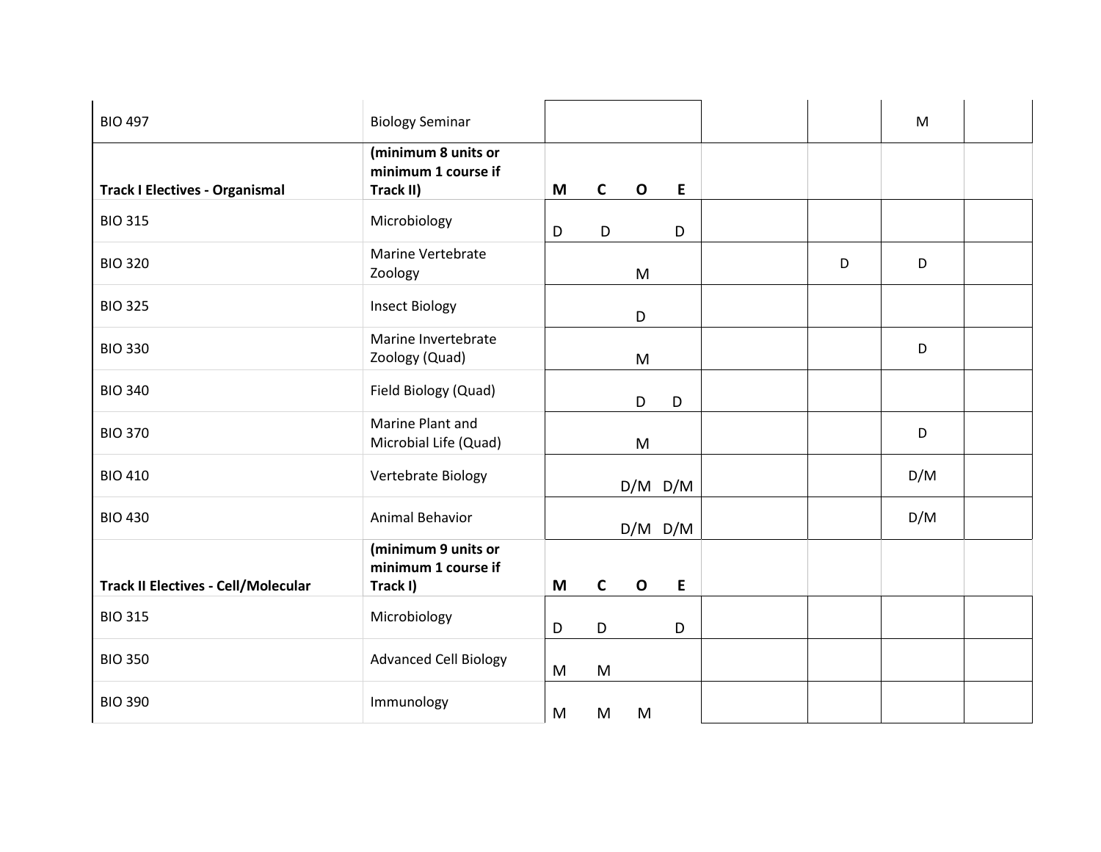| <b>BIO 497</b>                             | <b>Biology Seminar</b>                                  |   |              |             |             |   | M   |  |
|--------------------------------------------|---------------------------------------------------------|---|--------------|-------------|-------------|---|-----|--|
| <b>Track I Electives - Organismal</b>      | (minimum 8 units or<br>minimum 1 course if<br>Track II) | M | $\mathbf{C}$ | $\mathbf 0$ | E           |   |     |  |
| <b>BIO 315</b>                             | Microbiology                                            | D | D            |             | D           |   |     |  |
| <b>BIO 320</b>                             | Marine Vertebrate<br>Zoology                            |   |              | ${\sf M}$   |             | D | D   |  |
| <b>BIO 325</b>                             | <b>Insect Biology</b>                                   |   |              | D           |             |   |     |  |
| <b>BIO 330</b>                             | Marine Invertebrate<br>Zoology (Quad)                   |   |              | M           |             |   | D   |  |
| <b>BIO 340</b>                             | Field Biology (Quad)                                    |   |              | D           | D           |   |     |  |
| <b>BIO 370</b>                             | Marine Plant and<br>Microbial Life (Quad)               |   |              | M           |             |   | D   |  |
| <b>BIO 410</b>                             | Vertebrate Biology                                      |   |              |             | $D/M$ $D/M$ |   | D/M |  |
| <b>BIO 430</b>                             | Animal Behavior                                         |   |              |             | $D/M$ $D/M$ |   | D/M |  |
| <b>Track II Electives - Cell/Molecular</b> | (minimum 9 units or<br>minimum 1 course if<br>Track I)  | M | $\mathsf{C}$ | $\mathbf 0$ | E           |   |     |  |
| <b>BIO 315</b>                             | Microbiology                                            | D | D            |             | D           |   |     |  |
| <b>BIO 350</b>                             | <b>Advanced Cell Biology</b>                            | M | M            |             |             |   |     |  |
| <b>BIO 390</b>                             | Immunology                                              | M | M            | M           |             |   |     |  |